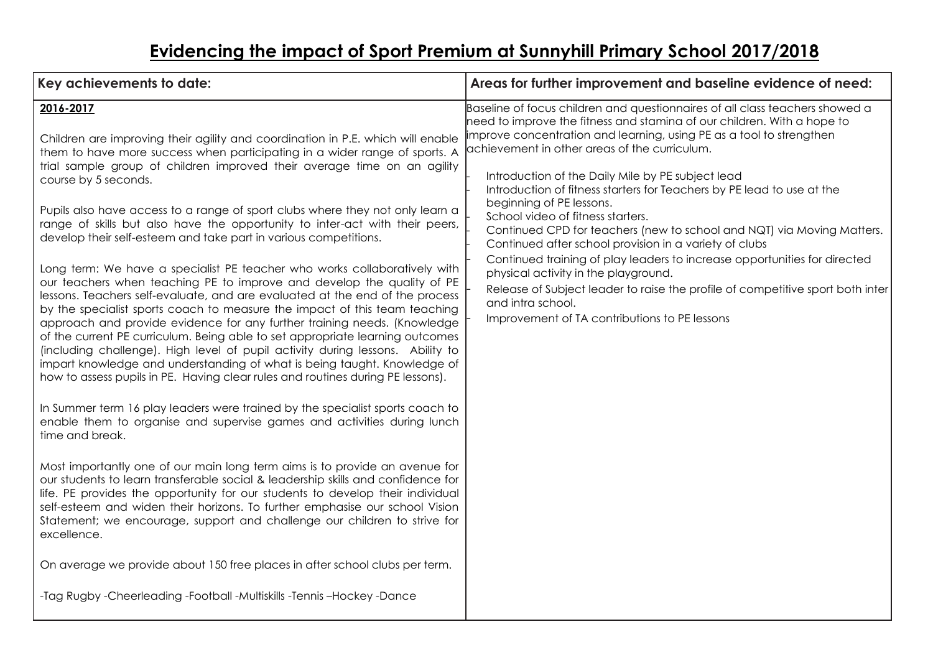## **Evidencing the impact of Sport Premium at Sunnyhill Primary School 2017/2018**

| Key achievements to date:                                                                                                                                                                                                                                                                                                                                                                                                                                                                                                                                                                                                                                                                                                                                                                                                                                                                                                                                                                                                                                                                                                                                                                                                                                                                                                                                                                                                                                                                                                                                                                                                                                                                                                                                                                                                                                                                                                                                                                                                       | Areas for further improvement and baseline evidence of need:                                                                                                                                                                                                                                                                                                                                                                                                                                                                                                                                                                                                                                                                                                                                                                                                                                      |
|---------------------------------------------------------------------------------------------------------------------------------------------------------------------------------------------------------------------------------------------------------------------------------------------------------------------------------------------------------------------------------------------------------------------------------------------------------------------------------------------------------------------------------------------------------------------------------------------------------------------------------------------------------------------------------------------------------------------------------------------------------------------------------------------------------------------------------------------------------------------------------------------------------------------------------------------------------------------------------------------------------------------------------------------------------------------------------------------------------------------------------------------------------------------------------------------------------------------------------------------------------------------------------------------------------------------------------------------------------------------------------------------------------------------------------------------------------------------------------------------------------------------------------------------------------------------------------------------------------------------------------------------------------------------------------------------------------------------------------------------------------------------------------------------------------------------------------------------------------------------------------------------------------------------------------------------------------------------------------------------------------------------------------|---------------------------------------------------------------------------------------------------------------------------------------------------------------------------------------------------------------------------------------------------------------------------------------------------------------------------------------------------------------------------------------------------------------------------------------------------------------------------------------------------------------------------------------------------------------------------------------------------------------------------------------------------------------------------------------------------------------------------------------------------------------------------------------------------------------------------------------------------------------------------------------------------|
| 2016-2017<br>Children are improving their agility and coordination in P.E. which will enable<br>them to have more success when participating in a wider range of sports. A<br>trial sample group of children improved their average time on an agility<br>course by 5 seconds.<br>Pupils also have access to a range of sport clubs where they not only learn a<br>range of skills but also have the opportunity to inter-act with their peers,<br>develop their self-esteem and take part in various competitions.<br>Long term: We have a specialist PE teacher who works collaboratively with<br>our teachers when teaching PE to improve and develop the quality of PE<br>lessons. Teachers self-evaluate, and are evaluated at the end of the process<br>by the specialist sports coach to measure the impact of this team teaching<br>approach and provide evidence for any further training needs. (Knowledge<br>of the current PE curriculum. Being able to set appropriate learning outcomes<br>(including challenge). High level of pupil activity during lessons. Ability to<br>impart knowledge and understanding of what is being taught. Knowledge of<br>how to assess pupils in PE. Having clear rules and routines during PE lessons).<br>In Summer term 16 play leaders were trained by the specialist sports coach to<br>enable them to organise and supervise games and activities during lunch<br>time and break.<br>Most importantly one of our main long term aims is to provide an avenue for<br>our students to learn transferable social & leadership skills and confidence for<br>life. PE provides the opportunity for our students to develop their individual<br>self-esteem and widen their horizons. To further emphasise our school Vision<br>Statement; we encourage, support and challenge our children to strive for<br>excellence.<br>On average we provide about 150 free places in after school clubs per term.<br>-Tag Rugby -Cheerleading -Football -Multiskills -Tennis -Hockey -Dance | Baseline of focus children and questionnaires of all class teachers showed a<br>need to improve the fitness and stamina of our children. With a hope to<br>improve concentration and learning, using PE as a tool to strengthen<br>achievement in other areas of the curriculum.<br>Introduction of the Daily Mile by PE subject lead<br>Introduction of fitness starters for Teachers by PE lead to use at the<br>beginning of PE lessons.<br>School video of fitness starters.<br>Continued CPD for teachers (new to school and NQT) via Moving Matters.<br>Continued after school provision in a variety of clubs<br>Continued training of play leaders to increase opportunities for directed<br>physical activity in the playground.<br>Release of Subject leader to raise the profile of competitive sport both inter<br>and intra school.<br>Improvement of TA contributions to PE lessons |
|                                                                                                                                                                                                                                                                                                                                                                                                                                                                                                                                                                                                                                                                                                                                                                                                                                                                                                                                                                                                                                                                                                                                                                                                                                                                                                                                                                                                                                                                                                                                                                                                                                                                                                                                                                                                                                                                                                                                                                                                                                 |                                                                                                                                                                                                                                                                                                                                                                                                                                                                                                                                                                                                                                                                                                                                                                                                                                                                                                   |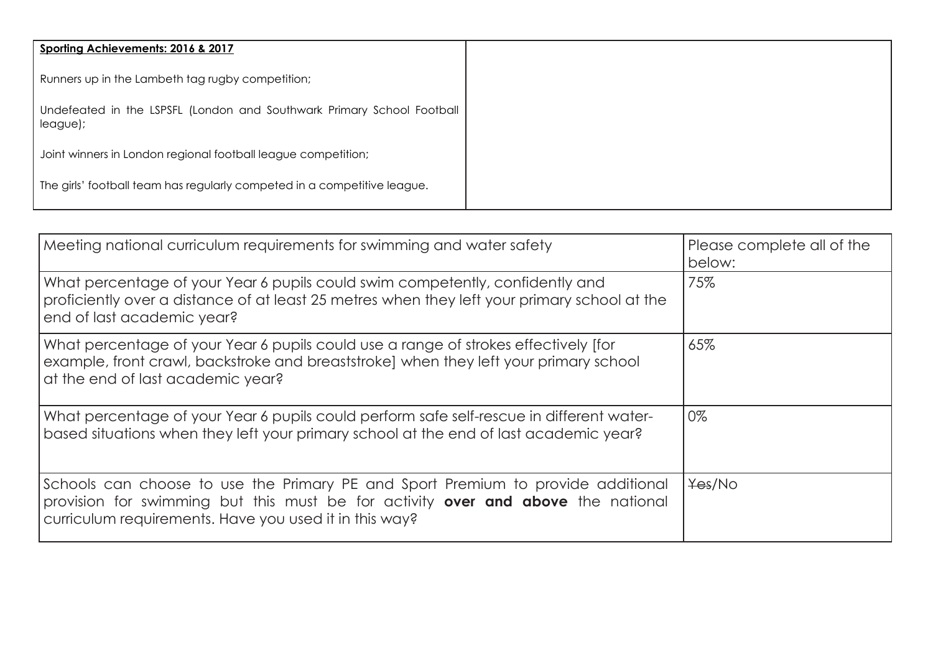| Sporting Achievements: 2016 & 2017                                                 |
|------------------------------------------------------------------------------------|
| Runners up in the Lambeth tag rugby competition;                                   |
| Undefeated in the LSPSFL (London and Southwark Primary School Football<br>league); |
| Joint winners in London regional football league competition;                      |
| The girls' football team has regularly competed in a competitive league.           |

| Meeting national curriculum requirements for swimming and water safety                                                                                                                                                         | Please complete all of the<br>below: |
|--------------------------------------------------------------------------------------------------------------------------------------------------------------------------------------------------------------------------------|--------------------------------------|
| What percentage of your Year 6 pupils could swim competently, confidently and<br>proficiently over a distance of at least 25 metres when they left your primary school at the<br>end of last academic year?                    | 75%                                  |
| What percentage of your Year 6 pupils could use a range of strokes effectively [for<br>example, front crawl, backstroke and breaststroke) when they left your primary school<br>at the end of last academic year?              | 65%                                  |
| What percentage of your Year 6 pupils could perform safe self-rescue in different water-<br>based situations when they left your primary school at the end of last academic year?                                              | 0%                                   |
| Schools can choose to use the Primary PE and Sport Premium to provide additional<br>provision for swimming but this must be for activity over and above the national<br>curriculum requirements. Have you used it in this way? | Yes/No                               |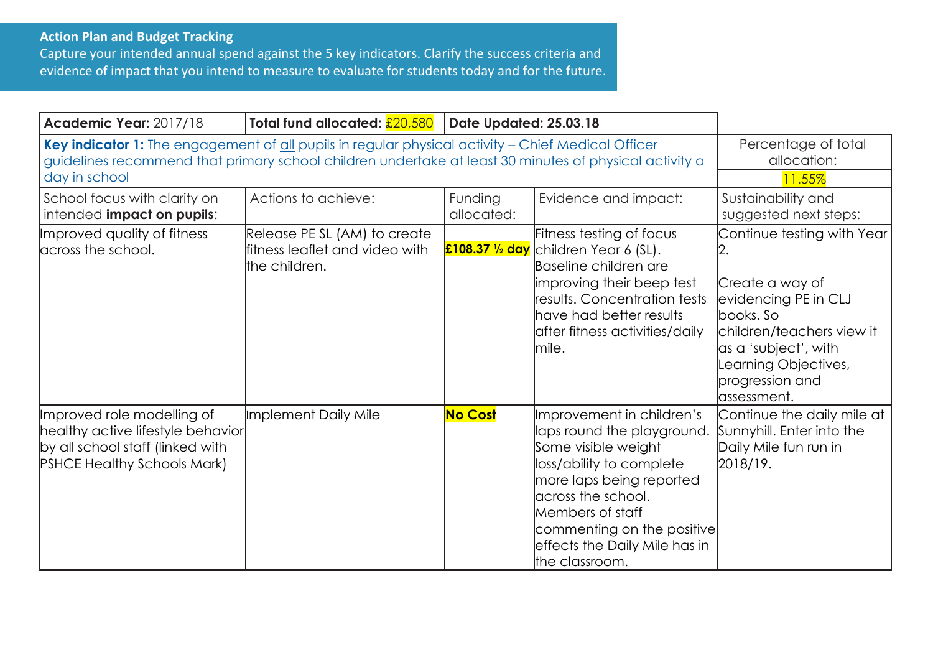## **Action Plan and Budget Tracking**

Capture your intended annual spend against the 5 key indicators. Clarify the success criteria and evidence of impact that you intend to measure to evaluate for students today and for the future.

| <b>Academic Year: 2017/18</b>                                                                                                                                                                                                 | Total fund allocated: $\frac{20,580}{20}$                                       | Date Updated: 25.03.18 |                                                                                                                                                                                                                                                                   |                                                                                                                                                                                                    |
|-------------------------------------------------------------------------------------------------------------------------------------------------------------------------------------------------------------------------------|---------------------------------------------------------------------------------|------------------------|-------------------------------------------------------------------------------------------------------------------------------------------------------------------------------------------------------------------------------------------------------------------|----------------------------------------------------------------------------------------------------------------------------------------------------------------------------------------------------|
| Key indicator 1: The engagement of all pupils in regular physical activity - Chief Medical Officer<br>guidelines recommend that primary school children undertake at least 30 minutes of physical activity a<br>day in school | Percentage of total<br>allocation:<br>11.55%                                    |                        |                                                                                                                                                                                                                                                                   |                                                                                                                                                                                                    |
| School focus with clarity on<br>intended impact on pupils:                                                                                                                                                                    | Actions to achieve:                                                             | Funding<br>allocated:  | Evidence and impact:                                                                                                                                                                                                                                              | Sustainability and<br>suggested next steps:                                                                                                                                                        |
| Improved quality of fitness<br>across the school.                                                                                                                                                                             | Release PE SL (AM) to create<br>fitness leaflet and video with<br>the children. |                        | Fitness testing of focus<br>£108.37 1/2 day children Year 6 (SL).<br>Baseline children are<br>improving their beep test<br>results. Concentration tests<br>have had better results<br>after fitness activities/daily<br>mile.                                     | Continue testing with Year<br>Create a way of<br>evidencing PE in CLJ<br>books. So<br>children/teachers view it<br>as a 'subject', with<br>Learning Objectives,<br>progression and<br>lassessment. |
| Improved role modelling of<br>healthy active lifestyle behavior<br>by all school staff (linked with<br><b>PSHCE Healthy Schools Mark)</b>                                                                                     | Implement Daily Mile                                                            | <b>No Cost</b>         | Improvement in children's<br>laps round the playground.<br>Some visible weight<br>loss/ability to complete<br>more laps being reported<br>across the school.<br>Members of staff<br>commenting on the positive<br>effects the Daily Mile has in<br>the classroom. | Continue the daily mile at<br>Sunnyhill. Enter into the<br>Daily Mile fun run in<br>2018/19.                                                                                                       |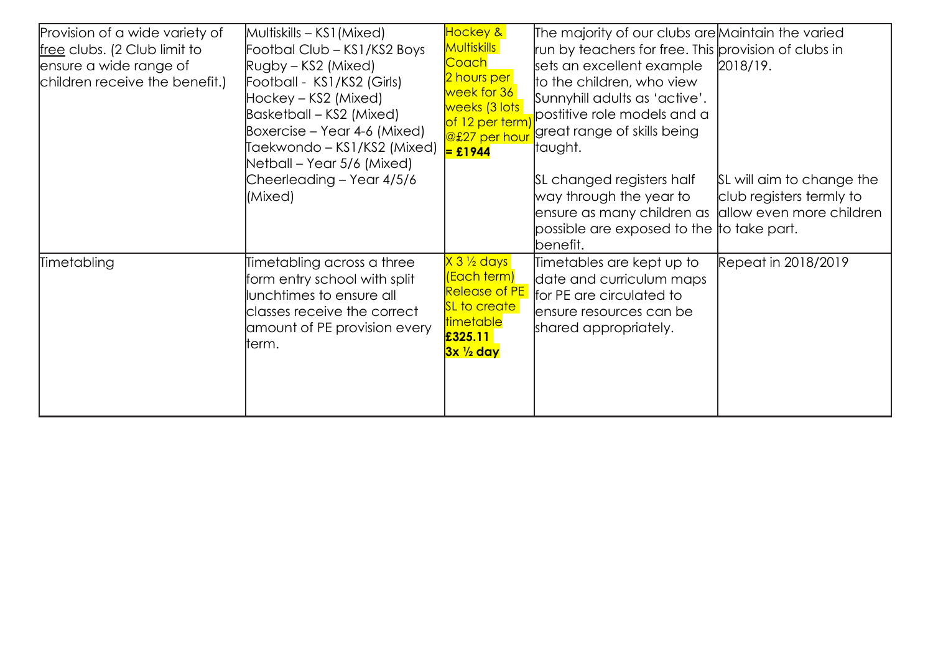| Provision of a wide variety of<br>free clubs. (2 Club limit to<br>ensure a wide range of<br>children receive the benefit.) | Multiskills – KS1 (Mixed)<br>Footbal Club – KS1/KS2 Boys<br>Rugby – KS2 (Mixed)<br>Football - KS1/KS2 (Girls)<br>Hockey – KS2 (Mixed)<br>Basketball – KS2 (Mixed)<br>Boxercise – Year 4-6 (Mixed)<br>Taekwondo – KS1/KS2 (Mixed) | Hockey &<br>Multiskills<br><mark>Coach</mark><br>2 hours per<br>week for 36<br>weeks (3 lots)<br>of 12 per term)<br>@£27 per hour<br>$=$ £1944 | The majority of our clubs are Maintain the varied<br>run by teachers for free. This provision of clubs in<br>sets an excellent example<br>to the children, who view<br>Sunnyhill adults as 'active'.<br>postitive role models and a<br>great range of skills being<br> taught. | $[2018/19]$ .                                         |
|----------------------------------------------------------------------------------------------------------------------------|----------------------------------------------------------------------------------------------------------------------------------------------------------------------------------------------------------------------------------|------------------------------------------------------------------------------------------------------------------------------------------------|--------------------------------------------------------------------------------------------------------------------------------------------------------------------------------------------------------------------------------------------------------------------------------|-------------------------------------------------------|
|                                                                                                                            | Netball – Year 5/6 (Mixed)<br>Cheerleading - Year 4/5/6<br>(Mixed)                                                                                                                                                               |                                                                                                                                                | SL changed registers half<br>way through the year to<br>ensure as many children as  allow even more children<br>possible are exposed to the  to take part.<br>benefit.                                                                                                         | SL will aim to change the<br>club registers termly to |
| Timetabling                                                                                                                | Timetabling across a three<br>form entry school with split<br>lunchtimes to ensure all<br>classes receive the correct<br>amount of PE provision every<br>lterm.                                                                  | X 3 ½ days<br>(Each term)<br><b>Release of PE</b><br>SL to create<br>timetable<br>£325.11<br>3x ½ day                                          | Timetables are kept up to<br>date and curriculum maps<br>for PE are circulated to<br>ensure resources can be<br>shared appropriately.                                                                                                                                          | Repeat in 2018/2019                                   |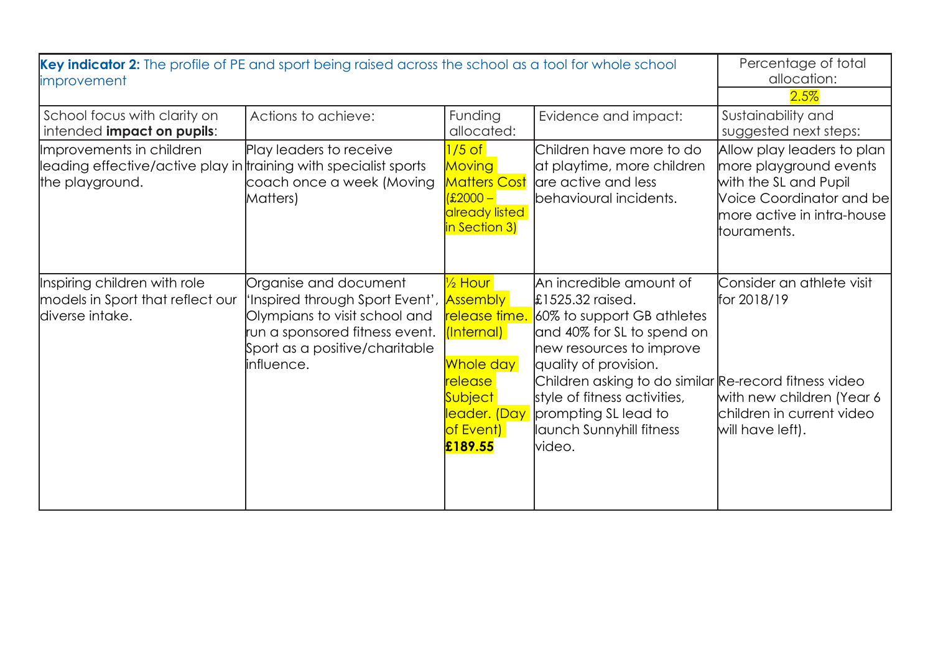| Key indicator 2: The profile of PE and sport being raised across the school as a tool for whole school<br>improvement |                                                                                                                                                                              |                                                                                                                                                                          |                                                                                                                                                                                                                                                                                                                                    | Percentage of total<br>allocation:<br>2.5%                                                                                                             |
|-----------------------------------------------------------------------------------------------------------------------|------------------------------------------------------------------------------------------------------------------------------------------------------------------------------|--------------------------------------------------------------------------------------------------------------------------------------------------------------------------|------------------------------------------------------------------------------------------------------------------------------------------------------------------------------------------------------------------------------------------------------------------------------------------------------------------------------------|--------------------------------------------------------------------------------------------------------------------------------------------------------|
| School focus with clarity on<br>intended impact on pupils:                                                            | Actions to achieve:                                                                                                                                                          | Funding<br>allocated:                                                                                                                                                    | Evidence and impact:                                                                                                                                                                                                                                                                                                               | Sustainability and<br>suggested next steps:                                                                                                            |
| Improvements in children<br>leading effective/active play in training with specialist sports<br>the playground.       | Play leaders to receive<br>coach once a week (Moving<br>Matters)                                                                                                             | $1/5$ of<br>Moving<br><b>Matters Cost</b><br>$(2000 -$<br>already listed<br>in Section 3)                                                                                | Children have more to do<br>at playtime, more children<br>are active and less<br>behavioural incidents.                                                                                                                                                                                                                            | Allow play leaders to plan<br>more playground events<br>with the SL and Pupil<br>Voice Coordinator and be<br>more active in intra-house<br>touraments. |
| Inspiring children with role<br>models in Sport that reflect our<br>ldiverse intake.                                  | Organise and document<br>'Inspired through Sport Event',<br>Olympians to visit school and<br>run a sponsored fitness event.<br>Sport as a positive/charitable<br>linfluence. | 1/ <sub>2</sub> Hour<br><b>Assembly</b><br>release time.<br>(Internal)<br>Whole day<br>release l<br><b>Subject</b><br><mark>leader. (Day </mark><br>of Event)<br>£189.55 | An incredible amount of<br>$\text{\pounds}1525.32$ raised.<br>60% to support GB athletes<br>and 40% for SL to spend on<br>new resources to improve<br>quality of provision.<br>Children asking to do similar Re-record fitness video<br>style of fitness activities,<br>prompting SL lead to<br>launch Sunnyhill fitness<br>video. | Consider an athlete visit<br>for 2018/19<br>with new children (Year 6<br>children in current video<br>will have left).                                 |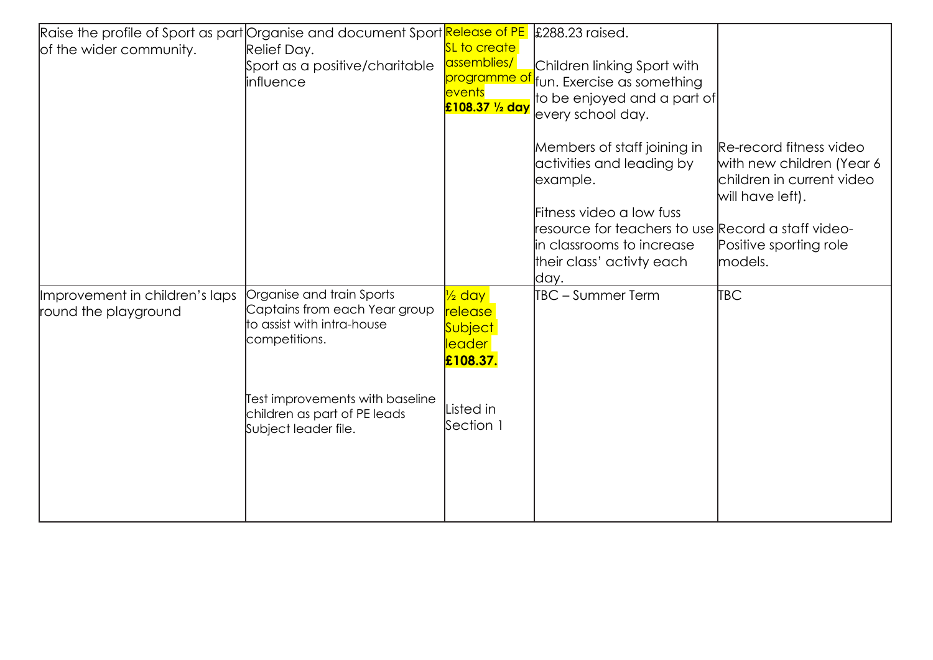| Raise the profile of Sport as part Organise and document Sport Release of PE |                                                                        |                              | £288.23 raised.                                    |                                               |
|------------------------------------------------------------------------------|------------------------------------------------------------------------|------------------------------|----------------------------------------------------|-----------------------------------------------|
| of the wider community.                                                      | Relief Day.                                                            | <b>SL to create</b>          |                                                    |                                               |
|                                                                              | Sport as a positive/charitable                                         | assemblies/                  | Children linking Sport with                        |                                               |
|                                                                              | influence                                                              | programme of                 | fun. Exercise as something                         |                                               |
|                                                                              |                                                                        | events<br>£108.37 1/2 day    | to be enjoyed and a part of                        |                                               |
|                                                                              |                                                                        |                              | every school day.                                  |                                               |
|                                                                              |                                                                        |                              | Members of staff joining in                        | Re-record fitness video                       |
|                                                                              |                                                                        |                              | activities and leading by                          | with new children (Year 6                     |
|                                                                              |                                                                        |                              | example.                                           | children in current video<br>will have left). |
|                                                                              |                                                                        |                              | Fitness video a low fuss                           |                                               |
|                                                                              |                                                                        |                              | resource for teachers to use Record a staff video- |                                               |
|                                                                              |                                                                        |                              | in classrooms to increase                          | Positive sporting role                        |
|                                                                              |                                                                        |                              | their class' activty each                          | models.                                       |
|                                                                              |                                                                        |                              | day.                                               |                                               |
| Improvement in children's laps<br>round the playground                       | Organise and train Sports<br>Captains from each Year group             | $\frac{1}{2}$ day<br>release | TBC - Summer Term                                  | TBC                                           |
|                                                                              | to assist with intra-house                                             | <mark>S∪bject</mark>         |                                                    |                                               |
|                                                                              | competitions.                                                          | leader                       |                                                    |                                               |
|                                                                              |                                                                        | £108.37.                     |                                                    |                                               |
|                                                                              |                                                                        |                              |                                                    |                                               |
|                                                                              | <b>Test improvements with baseline</b><br>children as part of PE leads | isted in                     |                                                    |                                               |
|                                                                              | Subject leader file.                                                   | Section 1                    |                                                    |                                               |
|                                                                              |                                                                        |                              |                                                    |                                               |
|                                                                              |                                                                        |                              |                                                    |                                               |
|                                                                              |                                                                        |                              |                                                    |                                               |
|                                                                              |                                                                        |                              |                                                    |                                               |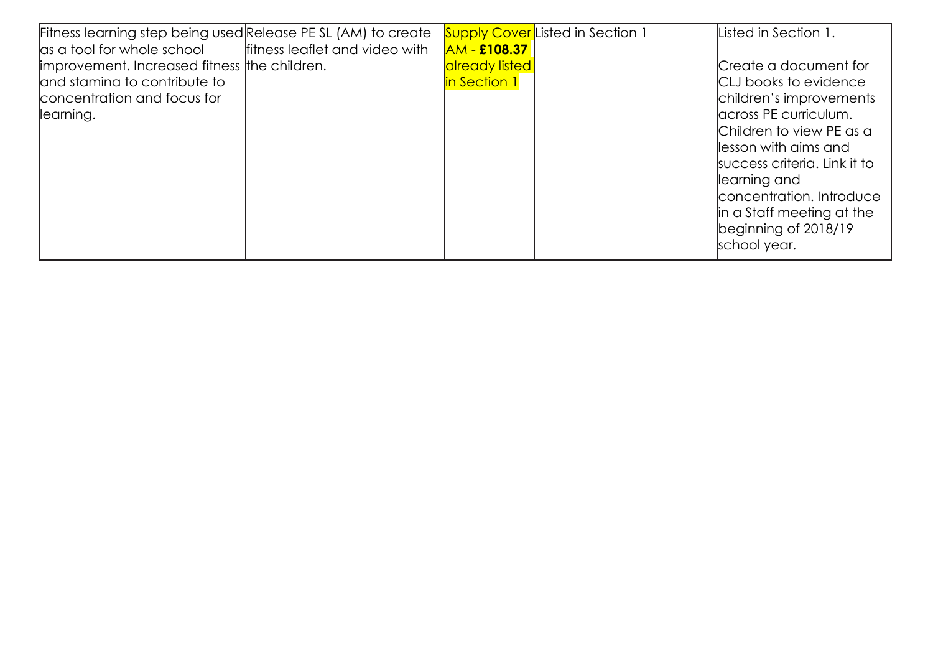| Fitness learning step being used Release PE SL (AM) to create |                                |                     | <b>Supply Cover</b> Listed in Section 1 | Listed in Section 1.         |
|---------------------------------------------------------------|--------------------------------|---------------------|-----------------------------------------|------------------------------|
| as a tool for whole school                                    | fitness leaflet and video with | <b>AM - £108.37</b> |                                         |                              |
| improvement. Increased fitness the children.                  |                                | already listed      |                                         | Create a document for        |
| land stamina to contribute to                                 |                                | in Section 1        |                                         | <b>CLJ</b> books to evidence |
| concentration and focus for                                   |                                |                     |                                         | children's improvements      |
| llearning.                                                    |                                |                     |                                         | lacross PE curriculum.       |
|                                                               |                                |                     |                                         | Children to view PE as a     |
|                                                               |                                |                     |                                         | llesson with aims and        |
|                                                               |                                |                     |                                         | success criteria. Link it to |
|                                                               |                                |                     |                                         | llearning and                |
|                                                               |                                |                     |                                         | concentration. Introduce     |
|                                                               |                                |                     |                                         | in a Staff meeting at the    |
|                                                               |                                |                     |                                         | beginning of 2018/19         |
|                                                               |                                |                     |                                         | school year.                 |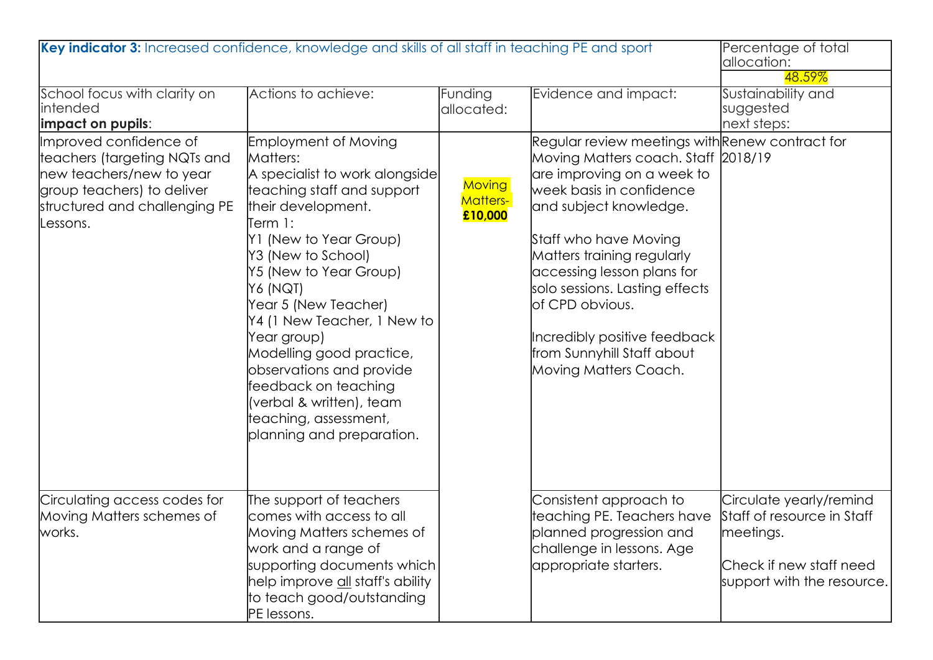| Key indicator 3: Increased confidence, knowledge and skills of all staff in teaching PE and sport                                                             | Percentage of total<br>allocation:<br>48.59%                                                                                                                                                                                                                                                                                                                                                                                                                           |                                             |                                                                                                                                                                                                                                                                                                                                                                                                             |                                                                                                                             |
|---------------------------------------------------------------------------------------------------------------------------------------------------------------|------------------------------------------------------------------------------------------------------------------------------------------------------------------------------------------------------------------------------------------------------------------------------------------------------------------------------------------------------------------------------------------------------------------------------------------------------------------------|---------------------------------------------|-------------------------------------------------------------------------------------------------------------------------------------------------------------------------------------------------------------------------------------------------------------------------------------------------------------------------------------------------------------------------------------------------------------|-----------------------------------------------------------------------------------------------------------------------------|
| School focus with clarity on<br>intended<br>limpact on pupils:                                                                                                | Actions to achieve:                                                                                                                                                                                                                                                                                                                                                                                                                                                    | Funding<br>allocated:                       | Evidence and impact:                                                                                                                                                                                                                                                                                                                                                                                        | Sustainability and<br>suggested<br>next steps:                                                                              |
| Improved confidence of<br>teachers (targeting NQTs and<br>new teachers/new to year<br>group teachers) to deliver<br>structured and challenging PE<br>Lessons. | <b>Employment of Moving</b><br>Matters:<br>A specialist to work alongside<br>teaching staff and support<br>their development.<br>Term 1:<br>Y1 (New to Year Group)<br>Y3 (New to School)<br>Y5 (New to Year Group)<br>Y6 (NQT)<br>Year 5 (New Teacher)<br>Y4 (1 New Teacher, 1 New to<br>Year group)<br>Modelling good practice,<br>observations and provide<br>feedback on teaching<br>(verbal & written), team<br>teaching, assessment,<br>planning and preparation. | <b>Moving</b><br><b>Matters-</b><br>£10,000 | Regular review meetings with Renew contract for<br>Moving Matters coach. Staff 2018/19<br>are improving on a week to<br>week basis in confidence<br>and subject knowledge.<br>Staff who have Moving<br>Matters training regularly<br>accessing lesson plans for<br>solo sessions. Lasting effects<br>of CPD obvious.<br>Incredibly positive feedback<br>from Sunnyhill Staff about<br>Moving Matters Coach. |                                                                                                                             |
| Circulating access codes for<br>Moving Matters schemes of<br>works.                                                                                           | The support of teachers<br>comes with access to all<br>Moving Matters schemes of<br>work and a range of<br>supporting documents which<br>help improve <u>all</u> staff's ability<br>to teach good/outstanding<br>PE lessons.                                                                                                                                                                                                                                           |                                             | Consistent approach to<br>teaching PE. Teachers have<br>planned progression and<br>challenge in lessons. Age<br>appropriate starters.                                                                                                                                                                                                                                                                       | Circulate yearly/remind<br>Staff of resource in Staff<br>meetings.<br>Check if new staff need<br>support with the resource. |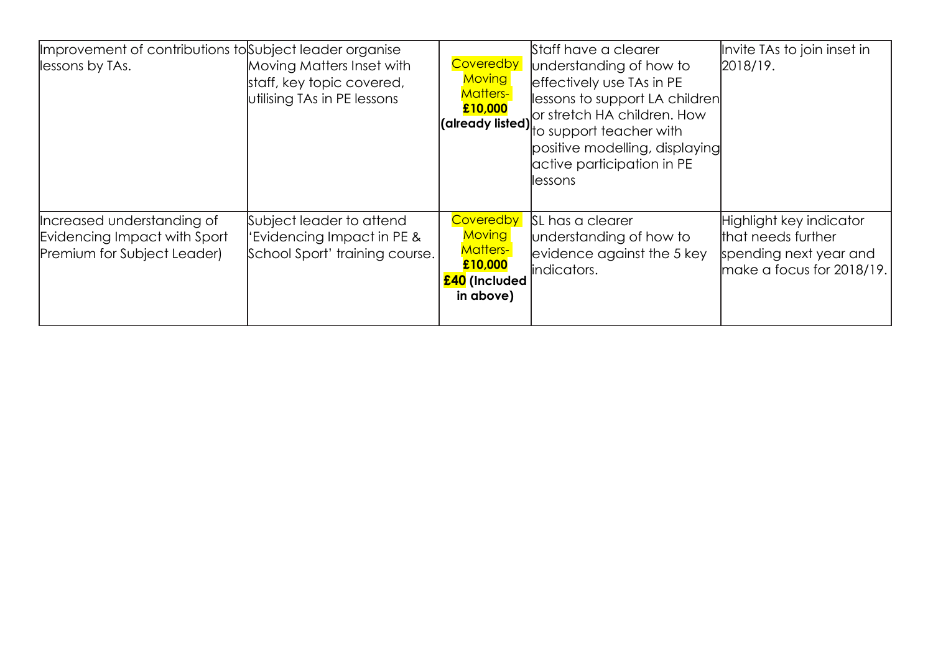| Improvement of contributions to Subject leader organise<br>lessons by TAs.                | Moving Matters Inset with<br>staff, key topic covered,<br>utilising TAs in PE lessons    | Coveredby<br><b>Moving</b><br><b>Matters-</b><br>£10,000                                      | Staff have a clearer<br>understanding of how to<br>effectively use TAs in PE<br>lessons to support LA children<br>or stretch HA children. How<br><b>(already listed)</b> by substant teacher with<br>positive modelling, displaying<br>active participation in PE<br>llessons | Invite TAs to join inset in<br>2018/19.                                                                  |
|-------------------------------------------------------------------------------------------|------------------------------------------------------------------------------------------|-----------------------------------------------------------------------------------------------|-------------------------------------------------------------------------------------------------------------------------------------------------------------------------------------------------------------------------------------------------------------------------------|----------------------------------------------------------------------------------------------------------|
| Increased understanding of<br>Evidencing Impact with Sport<br>Premium for Subject Leader) | Subject leader to attend<br>'Evidencing Impact in PE &<br>School Sport' training course. | Coveredby<br><b>Moving</b><br><b>Matters-</b><br>£10,000<br><b>£40</b> (Included<br>in above) | SL has a clearer<br>understanding of how to<br>evidence against the 5 key<br>indicators.                                                                                                                                                                                      | Highlight key indicator<br>that needs further<br>spending next year and<br>$ $ make a focus for 2018/19. |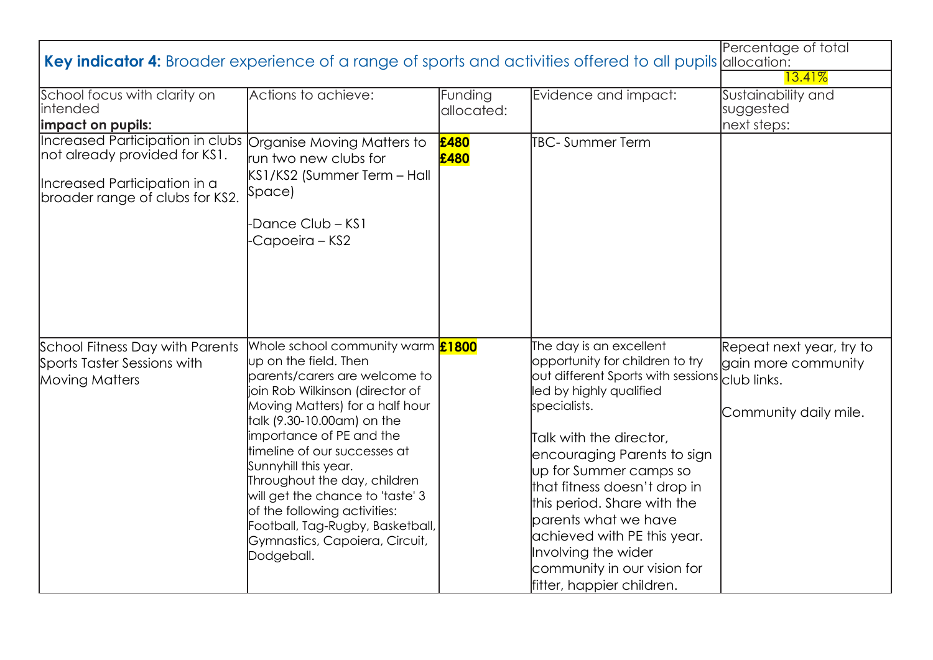| Key indicator 4: Broader experience of a range of sports and activities offered to all pupils allocation:                            | Percentage of total                                                                                                                                                                                                                                                                                                                                                                                                                                                                |                       |                                                                                                                                                                                                                                                                                                                                                                                                                                                                                  |                                                                          |
|--------------------------------------------------------------------------------------------------------------------------------------|------------------------------------------------------------------------------------------------------------------------------------------------------------------------------------------------------------------------------------------------------------------------------------------------------------------------------------------------------------------------------------------------------------------------------------------------------------------------------------|-----------------------|----------------------------------------------------------------------------------------------------------------------------------------------------------------------------------------------------------------------------------------------------------------------------------------------------------------------------------------------------------------------------------------------------------------------------------------------------------------------------------|--------------------------------------------------------------------------|
| School focus with clarity on<br><i>lintended</i><br>impact on pupils:                                                                | Actions to achieve:                                                                                                                                                                                                                                                                                                                                                                                                                                                                | Funding<br>allocated: | Evidence and impact:                                                                                                                                                                                                                                                                                                                                                                                                                                                             | 13.41%<br>Sustainability and<br>suggested<br>next steps:                 |
| Increased Participation in clubs<br>not already provided for KS1.<br>Increased Participation in a<br>broader range of clubs for KS2. | Organise Moving Matters to<br>run two new clubs for<br>KS1/KS2 (Summer Term - Hall<br> Space<br>-Dance Club – KS1<br>-Capoeira – KS2                                                                                                                                                                                                                                                                                                                                               | £480<br>£480          | <b>I</b> TBC- Summer Term                                                                                                                                                                                                                                                                                                                                                                                                                                                        |                                                                          |
| School Fitness Day with Parents<br>Sports Taster Sessions with<br><b>Moving Matters</b>                                              | Whole school community warm <b>£1800</b><br>up on the field. Then<br>parents/carers are welcome to<br>join Rob Wilkinson (director of<br>Moving Matters) for a half hour<br>talk (9.30-10.00am) on the<br>importance of PE and the<br>timeline of our successes at<br>Sunnyhill this year.<br>Throughout the day, children<br>will get the chance to 'taste' 3<br>of the following activities:<br>Football, Tag-Rugby, Basketball,<br>Gymnastics, Capoiera, Circuit,<br>Dodgeball. |                       | The day is an excellent<br>opportunity for children to try<br>$\frac{1}{2}$ out different Sports with sessions $\frac{1}{2}$ club links.<br>led by highly qualified<br>specialists.<br>Talk with the director,<br>encouraging Parents to sign<br>up for Summer camps so<br>that fitness doesn't drop in<br>this period. Share with the<br>parents what we have<br>achieved with PE this year.<br>Involving the wider<br>community in our vision for<br>fitter, happier children. | Repeat next year, try to<br>gain more community<br>Community daily mile. |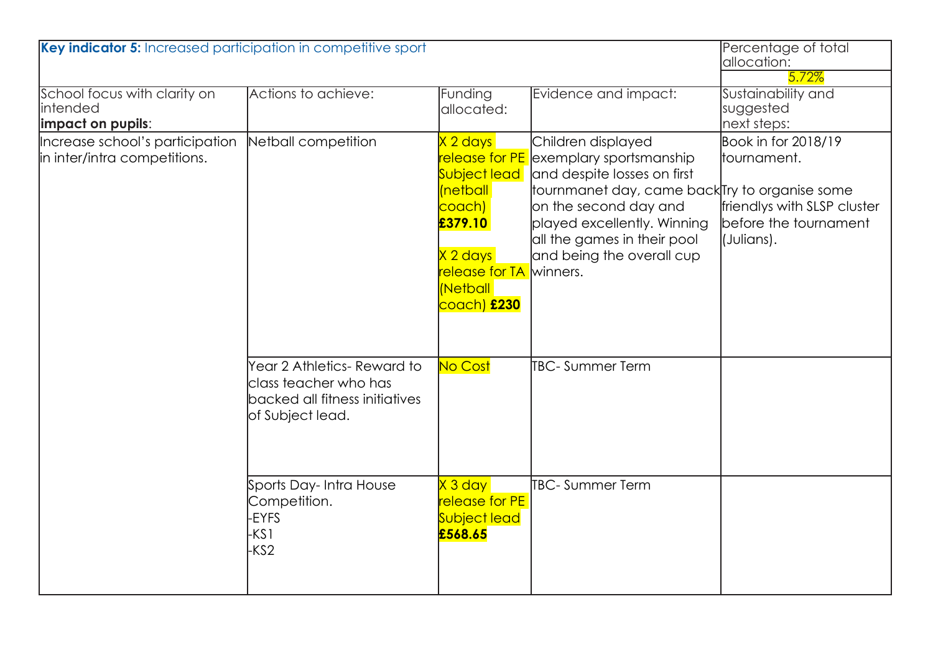| Key indicator 5: Increased participation in competitive sport               |                                                                                                            |                                                                                                                                                                                                         |                                                                                                                                                                                                                                                                | Percentage of total<br>allocation:<br>5.72%                                                              |
|-----------------------------------------------------------------------------|------------------------------------------------------------------------------------------------------------|---------------------------------------------------------------------------------------------------------------------------------------------------------------------------------------------------------|----------------------------------------------------------------------------------------------------------------------------------------------------------------------------------------------------------------------------------------------------------------|----------------------------------------------------------------------------------------------------------|
| School focus with clarity on<br><i><b>Intended</b></i><br>impact on pupils: | Actions to achieve:                                                                                        | Funding<br>allocated:                                                                                                                                                                                   | Evidence and impact:                                                                                                                                                                                                                                           | Sustainability and<br>suggested<br>next steps:                                                           |
| Increase school's participation<br>in inter/intra competitions.             | Netball competition                                                                                        | X 2 days<br><mark>release for PE</mark><br><b>Subject lead</b><br><i>(netball</i><br><mark>coach)</mark><br>£379.10<br>$X 2$ days<br><mark>release for TA</mark><br>Netball<br><mark>coach) £230</mark> | Children displayed<br>exemplary sportsmanship<br>and despite losses on first<br>tournmanet day, came back Try to organise some<br>on the second day and<br>played excellently. Winning<br>all the games in their pool<br>and being the overall cup<br>winners. | Book in for 2018/19<br>tournament.<br>friendlys with SLSP cluster<br>before the tournament<br>(Julians). |
|                                                                             | Year 2 Athletics- Reward to<br>class teacher who has<br>backed all fitness initiatives<br>of Subject lead. | No Cost                                                                                                                                                                                                 | <b>TBC-Summer Term</b>                                                                                                                                                                                                                                         |                                                                                                          |
|                                                                             | Sports Day-Intra House<br>Competition.<br><b>EYFS</b><br>KS1<br>-KS2                                       | $X3$ day<br><b>release for PE</b><br><b>Subject lead</b><br>£568.65                                                                                                                                     | <b>TBC-Summer Term</b>                                                                                                                                                                                                                                         |                                                                                                          |